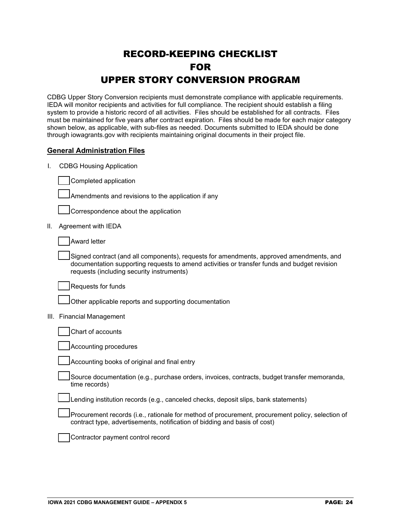# RECORD-KEEPING CHECKLIST FOR UPPER STORY CONVERSION PROGRAM

CDBG Upper Story Conversion recipients must demonstrate compliance with applicable requirements. IEDA will monitor recipients and activities for full compliance. The recipient should establish a filing system to provide a historic record of all activities. Files should be established for all contracts. Files must be maintained for five years after contract expiration. Files should be made for each major category shown below, as applicable, with sub-files as needed. Documents submitted to IEDA should be done through iowagrants.gov with recipients maintaining original documents in their project file.

#### **General Administration Files**

I. CDBG Housing Application

Completed application

Amendments and revisions to the application if any

Correspondence about the application

II. Agreement with IEDA

Award letter

Signed contract (and all components), requests for amendments, approved amendments, and documentation supporting requests to amend activities or transfer funds and budget revision requests (including security instruments)

Requests for funds

Other applicable reports and supporting documentation

III. Financial Management

| Chart of accounts |
|-------------------|
|                   |

Accounting procedures

Accounting books of original and final entry

Source documentation (e.g., purchase orders, invoices, contracts, budget transfer memoranda, time records)

Lending institution records (e.g., canceled checks, deposit slips, bank statements)

Procurement records (i.e., rationale for method of procurement, procurement policy, selection of contract type, advertisements, notification of bidding and basis of cost)

Contractor payment control record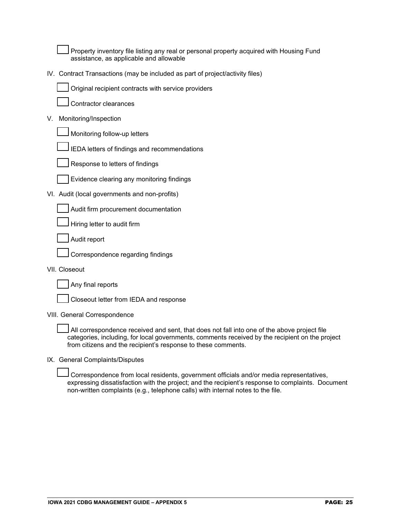Property inventory file listing any real or personal property acquired with Housing Fund assistance, as applicable and allowable

IV. Contract Transactions (may be included as part of project/activity files)



Contractor clearances

#### V. Monitoring/Inspection

Monitoring follow-up letters

IEDA letters of findings and recommendations



Evidence clearing any monitoring findings

VI. Audit (local governments and non-profits)

Audit firm procurement documentation

Hiring letter to audit firm

Audit report

Correspondence regarding findings

VII. Closeout

Any final reports

Closeout letter from IEDA and response

VIII. General Correspondence

All correspondence received and sent, that does not fall into one of the above project file categories, including, for local governments, comments received by the recipient on the project from citizens and the recipient's response to these comments.

IX. General Complaints/Disputes

Correspondence from local residents, government officials and/or media representatives, expressing dissatisfaction with the project; and the recipient's response to complaints. Document non-written complaints (e.g., telephone calls) with internal notes to the file.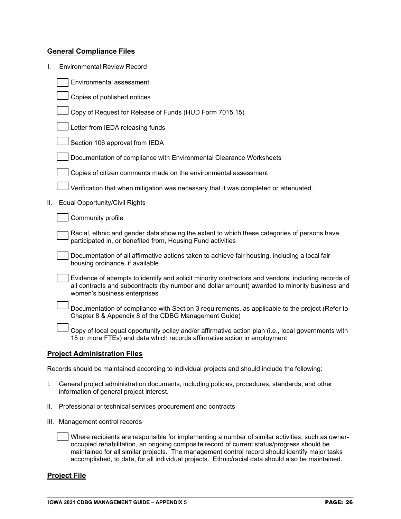## **General Compliance Files**

|  | <b>Environmental Review Record</b> |
|--|------------------------------------|
|--|------------------------------------|

|     | Environmental assessment                                                                                                                                                                                                             |
|-----|--------------------------------------------------------------------------------------------------------------------------------------------------------------------------------------------------------------------------------------|
|     | Copies of published notices                                                                                                                                                                                                          |
|     | Copy of Request for Release of Funds (HUD Form 7015.15)                                                                                                                                                                              |
|     | Letter from IEDA releasing funds                                                                                                                                                                                                     |
|     | Section 106 approval from IEDA                                                                                                                                                                                                       |
|     | Documentation of compliance with Environmental Clearance Worksheets                                                                                                                                                                  |
|     | Copies of citizen comments made on the environmental assessment                                                                                                                                                                      |
|     | Verification that when mitigation was necessary that it was completed or attenuated.                                                                                                                                                 |
| II. | Equal Opportunity/Civil Rights                                                                                                                                                                                                       |
|     | Community profile                                                                                                                                                                                                                    |
|     | Racial, ethnic and gender data showing the extent to which these categories of persons have<br>participated in, or benefited from, Housing Fund activities                                                                           |
|     | Documentation of all affirmative actions taken to achieve fair housing, including a local fair<br>housing ordinance, if available                                                                                                    |
|     | Evidence of attempts to identify and solicit minority contractors and vendors, including records of<br>all contracts and subcontracts (by number and dollar amount) awarded to minority business and<br>women's business enterprises |
|     | Documentation of compliance with Section 3 requirements, as applicable to the project (Refer to<br>Chapter 8 & Appendix 8 of the CDBG Management Guide)                                                                              |
|     | Copy of local equal opportunity policy and/or affirmative action plan (i.e., local governments with<br>15 or more FTEs) and data which records affirmative action in employment                                                      |
|     |                                                                                                                                                                                                                                      |

## **Project Administration Files**

Records should be maintained according to individual projects and should include the following:

- I. General project administration documents, including policies, procedures, standards, and other information of general project interest.
- II. Professional or technical services procurement and contracts
- III. Management control records

| Where recipients are responsible for implementing a number of similar activities, such as owner-  |
|---------------------------------------------------------------------------------------------------|
| occupied rehabilitation, an ongoing composite record of current status/progress should be         |
| maintained for all similar projects. The management control record should identify major tasks    |
| accomplished, to date, for all individual projects. Ethnic/racial data should also be maintained. |

#### **Project File**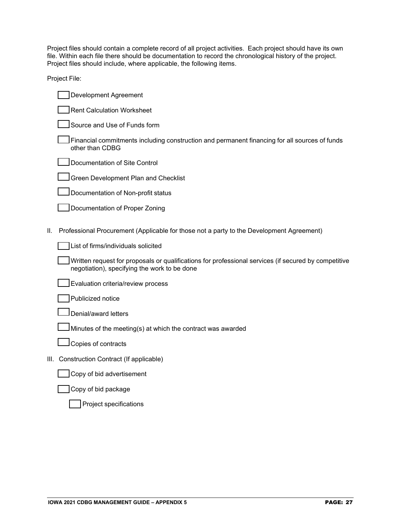Project files should contain a complete record of all project activities. Each project should have its own file. Within each file there should be documentation to record the chronological history of the project. Project files should include, where applicable, the following items.

Project File:

|    | Development Agreement                                                                                                                                |
|----|------------------------------------------------------------------------------------------------------------------------------------------------------|
|    | <b>Rent Calculation Worksheet</b>                                                                                                                    |
|    | Source and Use of Funds form                                                                                                                         |
|    | Financial commitments including construction and permanent financing for all sources of funds<br>other than CDBG                                     |
|    | Documentation of Site Control                                                                                                                        |
|    | Green Development Plan and Checklist                                                                                                                 |
|    | Documentation of Non-profit status                                                                                                                   |
|    | Documentation of Proper Zoning                                                                                                                       |
|    |                                                                                                                                                      |
| Ш. | Professional Procurement (Applicable for those not a party to the Development Agreement)                                                             |
|    | List of firms/individuals solicited                                                                                                                  |
|    | Written request for proposals or qualifications for professional services (if secured by competitive<br>negotiation), specifying the work to be done |
|    | Evaluation criteria/review process                                                                                                                   |
|    | Publicized notice                                                                                                                                    |
|    | Denial/award letters                                                                                                                                 |
|    | Minutes of the meeting(s) at which the contract was awarded                                                                                          |
|    | Copies of contracts                                                                                                                                  |
|    | III. Construction Contract (If applicable)                                                                                                           |
|    | Copy of bid advertisement                                                                                                                            |
|    | $\sim$ $\sim$ $\sim$ $\sim$ $\sim$                                                                                                                   |

# Copy of bid package